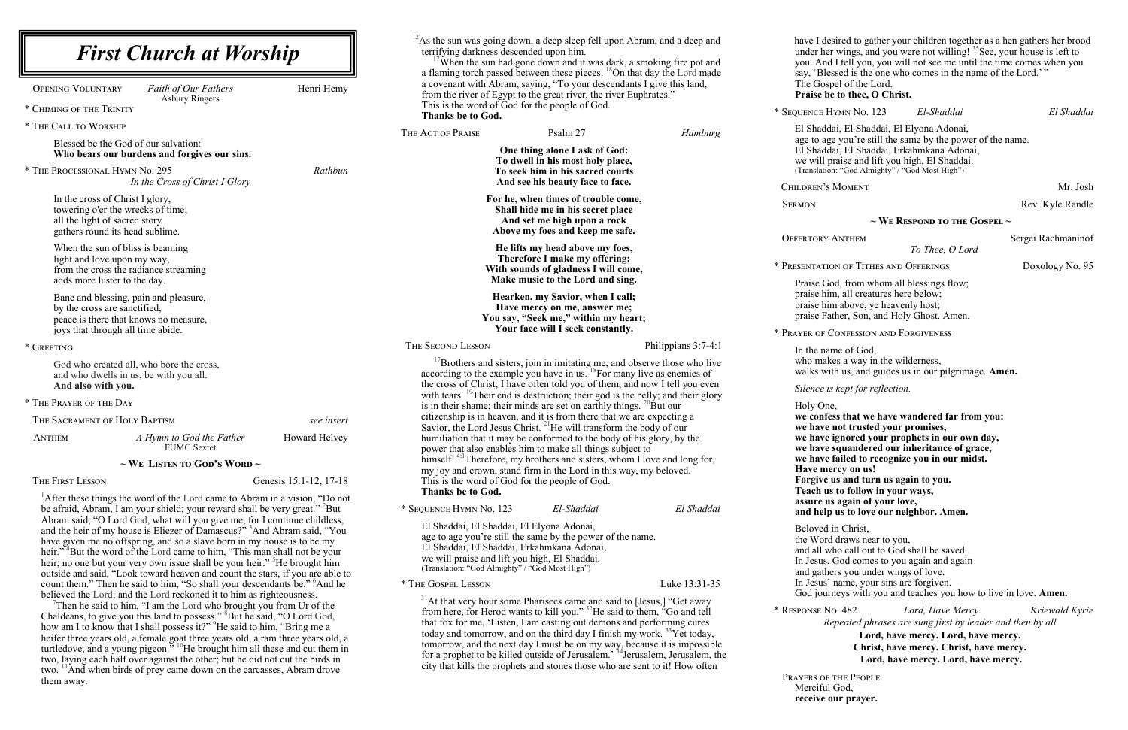lesired to gather your children together as a hen gathers her brood under her wings, and you were not willing! <sup>35</sup> See, your house is left to d I tell you, you will not see me until the time comes when you essed is the one who comes in the name of the Lord.'" spel of the Lord. be to thee, O Christ. \* Sequence Hymn No. 123 *El-Shaddai El Shaddai* El Shaddai, El Shaddai, El Elyona Adonai, ge you're still the same by the power of the name. El Shaddai, El Shaddai, Erkahmkana Adonai, praise and lift you high, El Shaddai. (on: "God Almighty" / "God Most High") S MOMENT Mr. Josh Rev. Kyle Randle **~ We Respond to the Gospel ~** ANTHEM Sergei Rachmaninof *To Thee, O Lord* ION OF TITHES AND OFFERINGS Doxology No. 95 Forceptive God, from whom all blessings flow; im, all creatures here below; im above, ye heavenly host; ather, Son, and Holy Ghost. Amen. CONFESSION AND FORGIVENESS ame of God, kes a way in the wilderness, vith us, and guides us in our pilgrimage. Amen. *is kept for reflection.* ne, **we confess that we have wandered far from you: we have not trusted your promises, we have ignored your prophets in our own day, we have squandered our inheritance of grace, we have failed to recognize you in our midst. have external E** us and turn us again to you. **Teach us to follow in your ways, assure us again of your love, and help us to love our neighbor. Amen.** d in Christ, rd draws near to you, who call out to God shall be saved. If God comes to you again and again hers you under wings of love. In ame, your sins are forgiven. arneys with you and teaches you how to live in love. **Amen.** \* Response No. 482 *Lord, Have Mercy Kriewald Kyrie Repeated phrases are sung first by leader and then by all*  **Lord, have mercy. Lord, have mercy. Christ, have mercy. Christ, have mercy. Lord, have mercy. Lord, have mercy.** Prayers of the People Merciful God, **receive our prayer.**

| <b>First Church at Worship</b>                                                                                                                                                                                                                                                                                                                                                                                                                                                                                                                                                                        |                                                                                                                                                                                                                                                        |                                                                                                                                                                                                                                                                                                                                                                                                                                                                                                                                                                                           | $^{12}$ As the sun was going down, a deep sleep fell upon Abram, and a deep and<br>terrifying darkness descended upon him.<br>'When the sun had gone down and it was dark, a smoking fire pot and<br>a flaming torch passed between these pieces. <sup>18</sup> On that day the Lord made |                                                                                                         | have I d<br>under he<br>you. An<br>say, 'Bl             |                                |
|-------------------------------------------------------------------------------------------------------------------------------------------------------------------------------------------------------------------------------------------------------------------------------------------------------------------------------------------------------------------------------------------------------------------------------------------------------------------------------------------------------------------------------------------------------------------------------------------------------|--------------------------------------------------------------------------------------------------------------------------------------------------------------------------------------------------------------------------------------------------------|-------------------------------------------------------------------------------------------------------------------------------------------------------------------------------------------------------------------------------------------------------------------------------------------------------------------------------------------------------------------------------------------------------------------------------------------------------------------------------------------------------------------------------------------------------------------------------------------|-------------------------------------------------------------------------------------------------------------------------------------------------------------------------------------------------------------------------------------------------------------------------------------------|---------------------------------------------------------------------------------------------------------|---------------------------------------------------------|--------------------------------|
| <b>OPENING VOLUNTARY</b>                                                                                                                                                                                                                                                                                                                                                                                                                                                                                                                                                                              | Faith of Our Fathers<br><b>Asbury Ringers</b>                                                                                                                                                                                                          | Henri Hemy                                                                                                                                                                                                                                                                                                                                                                                                                                                                                                                                                                                | a covenant with Abram, saying, "To your descendants I give this land,<br>from the river of Egypt to the great river, the river Euphrates."                                                                                                                                                |                                                                                                         |                                                         | The Gos<br>Praise b            |
| * CHIMING OF THE TRINITY                                                                                                                                                                                                                                                                                                                                                                                                                                                                                                                                                                              |                                                                                                                                                                                                                                                        |                                                                                                                                                                                                                                                                                                                                                                                                                                                                                                                                                                                           | This is the word of God for the people of God.<br><b>Thanks be to God.</b>                                                                                                                                                                                                                |                                                                                                         |                                                         | * SEQUENCE                     |
| * THE CALL TO WORSHIP                                                                                                                                                                                                                                                                                                                                                                                                                                                                                                                                                                                 |                                                                                                                                                                                                                                                        |                                                                                                                                                                                                                                                                                                                                                                                                                                                                                                                                                                                           | THE ACT OF PRAISE                                                                                                                                                                                                                                                                         | Psalm 27                                                                                                | Hamburg                                                 | El Shad                        |
|                                                                                                                                                                                                                                                                                                                                                                                                                                                                                                                                                                                                       | Blessed be the God of our salvation:<br>Who bears our burdens and forgives our sins.                                                                                                                                                                   |                                                                                                                                                                                                                                                                                                                                                                                                                                                                                                                                                                                           |                                                                                                                                                                                                                                                                                           | One thing alone I ask of God:<br>To dwell in his most holy place,                                       |                                                         | age to a<br>El Shad<br>we will |
|                                                                                                                                                                                                                                                                                                                                                                                                                                                                                                                                                                                                       | * THE PROCESSIONAL HYMN No. 295<br>In the Cross of Christ I Glory                                                                                                                                                                                      | Rathbun                                                                                                                                                                                                                                                                                                                                                                                                                                                                                                                                                                                   |                                                                                                                                                                                                                                                                                           | To seek him in his sacred courts<br>And see his beauty face to face.                                    |                                                         | (Translati<br>CHILDREN'S       |
|                                                                                                                                                                                                                                                                                                                                                                                                                                                                                                                                                                                                       | In the cross of Christ I glory,<br>towering o'er the wrecks of time;<br>all the light of sacred story                                                                                                                                                  |                                                                                                                                                                                                                                                                                                                                                                                                                                                                                                                                                                                           |                                                                                                                                                                                                                                                                                           | For he, when times of trouble come,<br>Shall hide me in his secret place<br>And set me high upon a rock |                                                         | <b>SERMON</b>                  |
|                                                                                                                                                                                                                                                                                                                                                                                                                                                                                                                                                                                                       | gathers round its head sublime.<br>When the sun of bliss is beaming                                                                                                                                                                                    |                                                                                                                                                                                                                                                                                                                                                                                                                                                                                                                                                                                           |                                                                                                                                                                                                                                                                                           | Above my foes and keep me safe.<br>He lifts my head above my foes,                                      |                                                         | <b>OFFERTORY</b>               |
|                                                                                                                                                                                                                                                                                                                                                                                                                                                                                                                                                                                                       | light and love upon my way,<br>from the cross the radiance streaming                                                                                                                                                                                   |                                                                                                                                                                                                                                                                                                                                                                                                                                                                                                                                                                                           |                                                                                                                                                                                                                                                                                           | Therefore I make my offering;<br>With sounds of gladness I will come,                                   |                                                         | * PRESENTAT!                   |
|                                                                                                                                                                                                                                                                                                                                                                                                                                                                                                                                                                                                       | adds more luster to the day.<br>Bane and blessing, pain and pleasure,                                                                                                                                                                                  |                                                                                                                                                                                                                                                                                                                                                                                                                                                                                                                                                                                           |                                                                                                                                                                                                                                                                                           | Make music to the Lord and sing.<br>Hearken, my Savior, when I call;                                    |                                                         | Praise C<br>praise h           |
| by the cross are sanctified;<br>peace is there that knows no measure,                                                                                                                                                                                                                                                                                                                                                                                                                                                                                                                                 |                                                                                                                                                                                                                                                        |                                                                                                                                                                                                                                                                                                                                                                                                                                                                                                                                                                                           | Have mercy on me, answer me;<br>You say, "Seek me," within my heart;                                                                                                                                                                                                                      |                                                                                                         | praise h<br>praise F                                    |                                |
|                                                                                                                                                                                                                                                                                                                                                                                                                                                                                                                                                                                                       | joys that through all time abide.                                                                                                                                                                                                                      |                                                                                                                                                                                                                                                                                                                                                                                                                                                                                                                                                                                           |                                                                                                                                                                                                                                                                                           | Your face will I seek constantly.                                                                       |                                                         | * PRAYER OF                    |
| * GREETING                                                                                                                                                                                                                                                                                                                                                                                                                                                                                                                                                                                            |                                                                                                                                                                                                                                                        |                                                                                                                                                                                                                                                                                                                                                                                                                                                                                                                                                                                           | THE SECOND LESSON                                                                                                                                                                                                                                                                         |                                                                                                         | Philippians 3:7-4:1                                     | In the na                      |
| God who created all, who bore the cross,<br>and who dwells in us, be with you all.<br>And also with you.                                                                                                                                                                                                                                                                                                                                                                                                                                                                                              |                                                                                                                                                                                                                                                        | according to the example you have in us. ${}^{18}$ For many live as enemies of<br>the cross of Christ; I have often told you of them, and now I tell you even                                                                                                                                                                                                                                                                                                                                                                                                                             | <sup>17</sup> Brothers and sisters, join in imitating me, and observe those who live                                                                                                                                                                                                      |                                                                                                         | who ma<br>walks w<br>Silence                            |                                |
| * THE PRAYER OF THE DAY                                                                                                                                                                                                                                                                                                                                                                                                                                                                                                                                                                               |                                                                                                                                                                                                                                                        |                                                                                                                                                                                                                                                                                                                                                                                                                                                                                                                                                                                           | with tears. <sup>19</sup> Their end is destruction; their god is the belly; and their glory<br>is in their shame; their minds are set on earthly things. $^{20}$ But our                                                                                                                  |                                                                                                         |                                                         | Holy Or                        |
|                                                                                                                                                                                                                                                                                                                                                                                                                                                                                                                                                                                                       | THE SACRAMENT OF HOLY BAPTISM                                                                                                                                                                                                                          | see insert                                                                                                                                                                                                                                                                                                                                                                                                                                                                                                                                                                                | citizenship is in heaven, and it is from there that we are expecting a<br>Savior, the Lord Jesus Christ. <sup>21</sup> He will transform the body of our                                                                                                                                  |                                                                                                         |                                                         | we conf<br>we have             |
| ANTHEM                                                                                                                                                                                                                                                                                                                                                                                                                                                                                                                                                                                                | A Hymn to God the Father<br><b>FUMC Sextet</b>                                                                                                                                                                                                         | Howard Helvey                                                                                                                                                                                                                                                                                                                                                                                                                                                                                                                                                                             | humiliation that it may be conformed to the body of his glory, by the<br>power that also enables him to make all things subject to                                                                                                                                                        |                                                                                                         |                                                         | we have<br>we have             |
|                                                                                                                                                                                                                                                                                                                                                                                                                                                                                                                                                                                                       | $\sim$ We Listen to God's Word $\sim$                                                                                                                                                                                                                  |                                                                                                                                                                                                                                                                                                                                                                                                                                                                                                                                                                                           | himself. <sup>4:1</sup> Therefore, my brothers and sisters, whom I love and long for,<br>my joy and crown, stand firm in the Lord in this way, my beloved.                                                                                                                                |                                                                                                         |                                                         | we have<br>Have m<br>Forgive   |
| THE FIRST LESSON                                                                                                                                                                                                                                                                                                                                                                                                                                                                                                                                                                                      |                                                                                                                                                                                                                                                        | Genesis 15:1-12, 17-18                                                                                                                                                                                                                                                                                                                                                                                                                                                                                                                                                                    | This is the word of God for the people of God.<br>Thanks be to God.                                                                                                                                                                                                                       |                                                                                                         |                                                         | Teach u                        |
|                                                                                                                                                                                                                                                                                                                                                                                                                                                                                                                                                                                                       | $^1$ After these things the word of the Lord came to Abram in a vision, "Do not<br>be afraid, Abram, I am your shield; your reward shall be very great." <sup>2</sup> But<br>Abram said, "O Lord God, what will you give me, for I continue childless, |                                                                                                                                                                                                                                                                                                                                                                                                                                                                                                                                                                                           | * SEQUENCE HYMN No. 123                                                                                                                                                                                                                                                                   | El-Shaddai                                                                                              | El Shaddai                                              | assure t<br>and hel            |
| and the heir of my house is Eliezer of Damascus?" <sup>3</sup> And Abram said, "You<br>have given me no offspring, and so a slave born in my house is to be my<br>heir." <sup>4</sup> But the word of the Lord came to him, "This man shall not be your<br>heir; no one but your very own issue shall be your heir." He brought him<br>outside and said, "Look toward heaven and count the stars, if you are able to                                                                                                                                                                                  |                                                                                                                                                                                                                                                        | El Shaddai, El Shaddai, El Elyona Adonai,<br>age to age you're still the same by the power of the name.<br>El Shaddai, El Shaddai, Erkahmkana Adonai,<br>we will praise and lift you high, El Shaddai.<br>(Translation: "God Almighty" / "God Most High")                                                                                                                                                                                                                                                                                                                                 |                                                                                                                                                                                                                                                                                           |                                                                                                         | Beloved<br>the Wor<br>and all v<br>In Jesus<br>and gath |                                |
| count them." Then he said to him, "So shall your descendants be." <sup>6</sup> And he<br>believed the Lord; and the Lord reckoned it to him as righteousness.                                                                                                                                                                                                                                                                                                                                                                                                                                         |                                                                                                                                                                                                                                                        | * THE GOSPEL LESSON                                                                                                                                                                                                                                                                                                                                                                                                                                                                                                                                                                       |                                                                                                                                                                                                                                                                                           | Luke 13:31-35                                                                                           | In Jesus<br>God jou                                     |                                |
| Then he said to him, "I am the Lord who brought you from Ur of the<br>Chaldeans, to give you this land to possess." <sup>8</sup> But he said, "O Lord God,<br>how am I to know that I shall possess it?" <sup>9</sup> He said to him, "Bring me a<br>heifer three years old, a female goat three years old, a ram three years old, a<br>turtledove, and a young pigeon." <sup>10</sup> He brought him all these and cut them in<br>two, laying each half over against the other; but he did not cut the birds in<br>two. <sup>11</sup> And when birds of prey came down on the carcasses, Abram drove |                                                                                                                                                                                                                                                        | $31$ At that very hour some Pharisees came and said to [Jesus,] "Get away<br>from here, for Herod wants to kill you." <sup>32</sup> He said to them, "Go and tell<br>that fox for me, 'Listen, I am casting out demons and performing cures<br>today and tomorrow, and on the third day I finish my work. <sup>33</sup> Yet today,<br>tomorrow, and the next day I must be on my way, because it is impossible<br>for a prophet to be killed outside of Jerusalem. <sup>34</sup> Jerusalem, Jerusalem, the<br>city that kills the prophets and stones those who are sent to it! How often |                                                                                                                                                                                                                                                                                           |                                                                                                         | * RESPONSE N                                            |                                |
| them away.                                                                                                                                                                                                                                                                                                                                                                                                                                                                                                                                                                                            |                                                                                                                                                                                                                                                        |                                                                                                                                                                                                                                                                                                                                                                                                                                                                                                                                                                                           |                                                                                                                                                                                                                                                                                           |                                                                                                         |                                                         | PRAYERS OI                     |